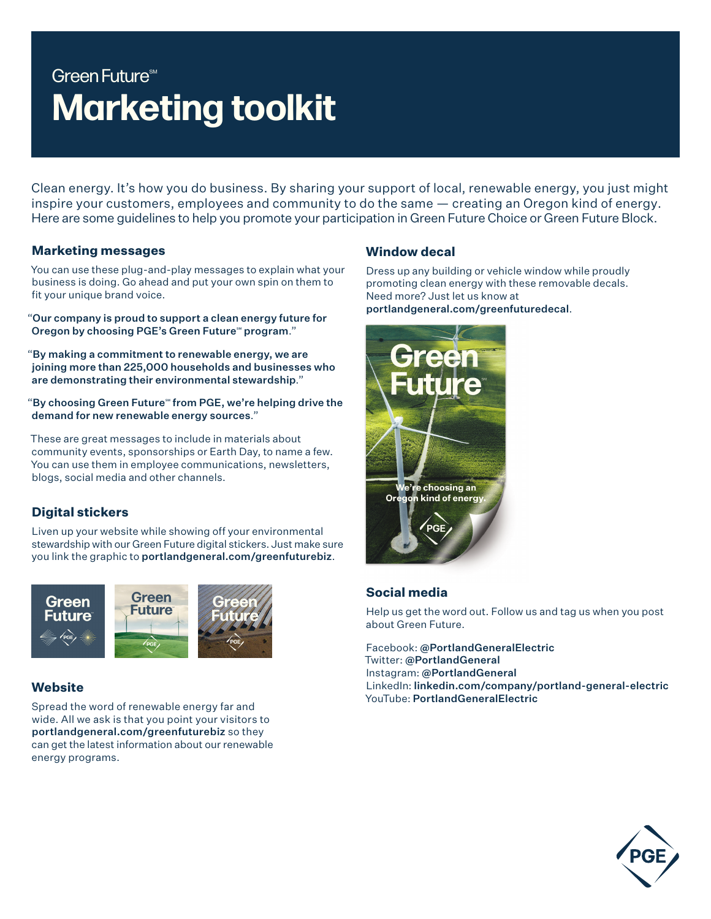# Green Future<sup>sM</sup> **Marketing toolkit**

Clean energy. It's how you do business. By sharing your support of local, renewable energy, you just might inspire your customers, employees and community to do the same — creating an Oregon kind of energy. Here are some guidelines to help you promote your participation in Green Future Choice or Green Future Block.

#### **Marketing messages**

You can use these plug-and-play messages to explain what your business is doing. Go ahead and put your own spin on them to fit your unique brand voice.

"Our company is proud to support a clean energy future for Oregon by choosing PGE's Green Future<sup>®</sup> program."

"By making a commitment to renewable energy, we are joining more than 225,000 households and businesses who are demonstrating their environmental stewardship."

"By choosing Green Future" from PGE, we're helping drive the demand for new renewable energy sources."

These are great messages to include in materials about community events, sponsorships or Earth Day, to name a few. You can use them in employee communications, newsletters, blogs, social media and other channels.

# **Digital stickers**

Liven up your website while showing off your environmental stewardship with our Green Future digital stickers. Just make sure you link the graphic to portlandgeneral.com/greenfuturebiz.



# **Website**

Spread the word of renewable energy far and wide. All we ask is that you point your visitors to portlandgeneral.com/greenfuturebiz so they can get the latest information about our renewable energy programs.

### **Window decal**

Dress up any building or vehicle window while proudly promoting clean energy with these removable decals. Need more? Just let us know at portlandgeneral.com/greenfuturedecal.



# **Social media**

Help us get the word out. Follow us and tag us when you post about Green Future.

Facebook: @PortlandGeneralElectric Twitter: @PortlandGeneral Instagram: @PortlandGeneral LinkedIn: linkedin.com/company/portland-general-electric YouTube: PortlandGeneralElectric